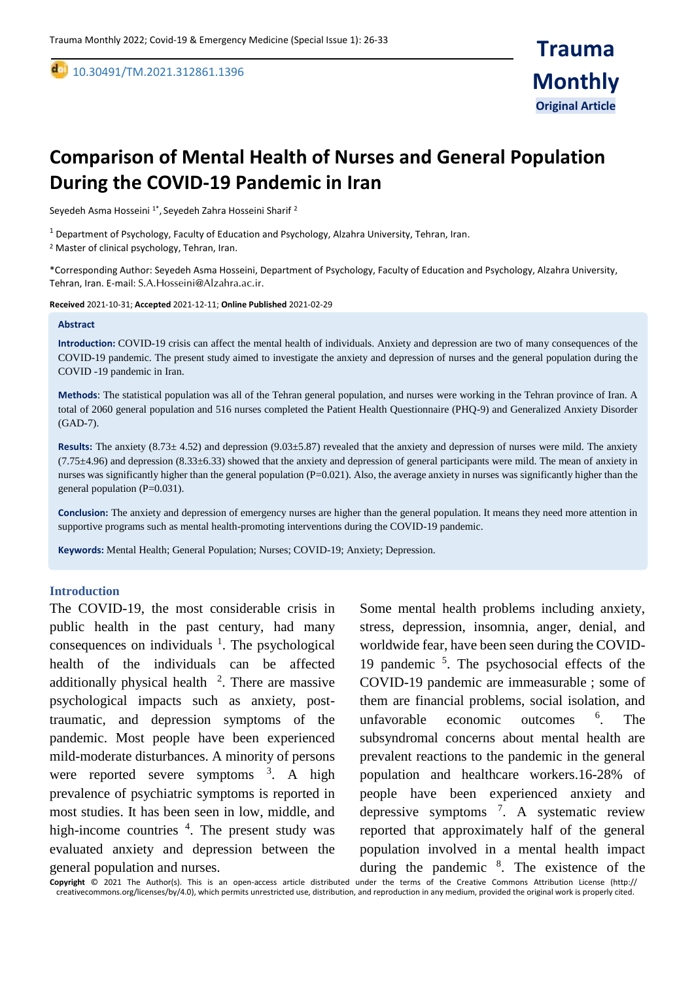10.30491/TM.2021.312861.1396

# **Comparison of Mental Health of Nurses and General Population During the COVID-19 Pandemic in Iran**

Seyedeh Asma Hosseini <sup>1\*</sup>, Seyedeh Zahra Hosseini Sharif <sup>2</sup>

<sup>1</sup> Department of Psychology, Faculty of Education and Psychology, Alzahra University, Tehran, Iran.

<sup>2</sup> Master of clinical psychology, Tehran, Iran.

\*Corresponding Author: Seyedeh Asma Hosseini, Department of Psychology, Faculty of Education and Psychology, Alzahra University, Tehran, Iran. E-mail: [S.A.Hosseini@Alzahra.ac.ir](mailto:S.A.Hosseini@Alzahra.ac.ir).

**Received** 2021-10-31; **Accepted** 2021-12-11; **Online Published** 2021-02-29

#### **Abstract**

,

**Introduction:** COVID-19 crisis can affect the mental health of individuals. Anxiety and depression are two of many consequences of the COVID-19 pandemic. The present study aimed to investigate the anxiety and depression of nurses and the general population during the COVID -19 pandemic in Iran.

**Methods**: The statistical population was all of the Tehran general population, and nurses were working in the Tehran province of Iran. A total of 2060 general population and 516 nurses completed the Patient Health Questionnaire (PHQ-9) and Generalized Anxiety Disorder (GAD-7).

**Results:** The anxiety (8.73± 4.52) and depression (9.03±5.87) revealed that the anxiety and depression of nurses were mild. The anxiety  $(7.75\pm4.96)$  and depression  $(8.33\pm6.33)$  showed that the anxiety and depression of general participants were mild. The mean of anxiety in nurses was significantly higher than the general population (P=0.021). Also, the average anxiety in nurses was significantly higher than the general population (P=0.031).

**Conclusion:** The anxiety and depression of emergency nurses are higher than the general population. It means they need more attention in supportive programs such as mental health-promoting interventions during the COVID-19 pandemic.

**Keywords:** Mental Health; General Population; Nurses; COVID-19; Anxiety; Depression.

#### **Introduction**

The COVID-19, the most considerable crisis in public health in the past century, had many consequences on individuals  $<sup>1</sup>$ . The psychological</sup> health of the individuals can be affected additionally physical health  $2$ . There are massive psychological impacts such as anxiety, posttraumatic, and depression symptoms of the pandemic. Most people have been experienced mild-moderate disturbances. A minority of persons were reported severe symptoms  $3$ . A high prevalence of psychiatric symptoms is reported in most studies. It has been seen in low, middle, and high-income countries <sup>4</sup>. The present study was evaluated anxiety and depression between the general population and nurses.

Some mental health problems including anxiety, stress, depression, insomnia, anger, denial, and worldwide fear, have been seen during the COVID-19 pandemic <sup>5</sup> . The psychosocial effects of the COVID-19 pandemic are immeasurable ; some of them are financial problems, social isolation, and unfavorable economic outcomes <sup>6</sup>. . The subsyndromal concerns about mental health are prevalent reactions to the pandemic in the general population and healthcare workers.16-28% of people have been experienced anxiety and depressive symptoms <sup>7</sup> . A systematic review reported that approximately half of the general population involved in a mental health impact during the pandemic <sup>8</sup>. The existence of the

**Copyright** © 2021 The Author(s). This is an open-access article distributed under the terms of the Creative Commons Attribution License (http:// creativecommons.org/licenses/by/4.0), which permits unrestricted use, distribution, and reproduction in any medium, provided the original work is properly cited.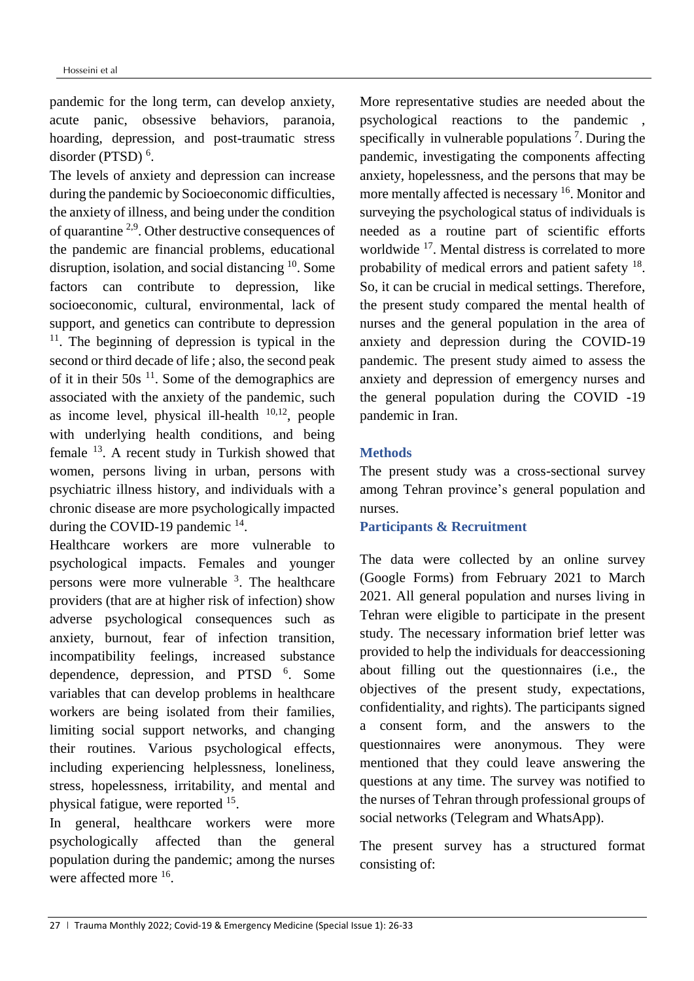pandemic for the long term, can develop anxiety, acute panic, obsessive behaviors, paranoia, hoarding, depression, and post-traumatic stress disorder (PTSD)<sup>6</sup>.

The levels of anxiety and depression can increase during the pandemic by Socioeconomic difficulties, the anxiety of illness, and being under the condition of quarantine 2,9. Other destructive consequences of the pandemic are financial problems, educational disruption, isolation, and social distancing <sup>10</sup>. Some factors can contribute to depression, like socioeconomic, cultural, environmental, lack of support, and genetics can contribute to depression <sup>11</sup>. The beginning of depression is typical in the second or third decade of life ; also, the second peak of it in their  $50s<sup>11</sup>$ . Some of the demographics are associated with the anxiety of the pandemic, such as income level, physical ill-health  $10,12$ , people with underlying health conditions, and being female <sup>13</sup>. A recent study in Turkish showed that women, persons living in urban, persons with psychiatric illness history, and individuals with a chronic disease are more psychologically impacted during the COVID-19 pandemic  $^{14}$ .

Healthcare workers are more vulnerable to psychological impacts. Females and younger persons were more vulnerable <sup>3</sup>. The healthcare providers (that are at higher risk of infection) show adverse psychological consequences such as anxiety, burnout, fear of infection transition, incompatibility feelings, increased substance dependence, depression, and PTSD <sup>6</sup>. Some variables that can develop problems in healthcare workers are being isolated from their families, limiting social support networks, and changing their routines. Various psychological effects, including experiencing helplessness, loneliness, stress, hopelessness, irritability, and mental and physical fatigue, were reported <sup>15</sup>.

In general, healthcare workers were more psychologically affected than the general population during the pandemic; among the nurses were affected more <sup>16</sup>.

More representative studies are needed about the psychological reactions to the pandemic , specifically in vulnerable populations<sup>7</sup>. During the pandemic, investigating the components affecting anxiety, hopelessness, and the persons that may be more mentally affected is necessary <sup>16</sup>. Monitor and surveying the psychological status of individuals is needed as a routine part of scientific efforts worldwide <sup>17</sup> . Mental distress is correlated to more probability of medical errors and patient safety <sup>18</sup>. So, it can be crucial in medical settings. Therefore, the present study compared the mental health of nurses and the general population in the area of anxiety and depression during the COVID-19 pandemic. The present study aimed to assess the anxiety and depression of emergency nurses and the general population during the COVID -19 pandemic in Iran.

### **Methods**

The present study was a cross-sectional survey among Tehran province's general population and nurses.

# **Participants & Recruitment**

The data were collected by an online survey (Google Forms) from February 2021 to March 2021. All general population and nurses living in Tehran were eligible to participate in the present study. The necessary information brief letter was provided to help the individuals for deaccessioning about filling out the questionnaires (i.e., the objectives of the present study, expectations, confidentiality, and rights). The participants signed a consent form, and the answers to the questionnaires were anonymous. They were mentioned that they could leave answering the questions at any time. The survey was notified to the nurses of Tehran through professional groups of social networks (Telegram and WhatsApp).

The present survey has a structured format consisting of: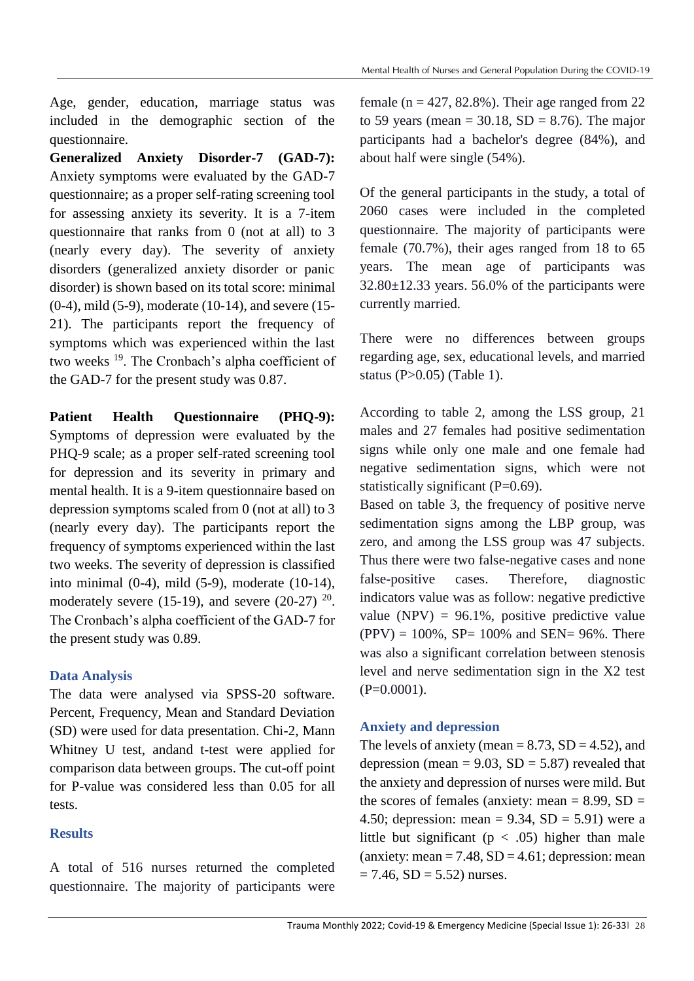Age, gender, education, marriage status was included in the demographic section of the questionnaire.

**Generalized Anxiety Disorder-7 (GAD-7):** Anxiety symptoms were evaluated by the GAD-7 questionnaire; as a proper self-rating screening tool for assessing anxiety its severity. It is a 7-item questionnaire that ranks from 0 (not at all) to 3 (nearly every day). The severity of anxiety disorders (generalized anxiety disorder or panic disorder) is shown based on its total score: minimal (0-4), mild (5-9), moderate (10-14), and severe (15- 21). The participants report the frequency of symptoms which was experienced within the last two weeks <sup>19</sup>. The Cronbach's alpha coefficient of the GAD-7 for the present study was 0.87.

**Patient Health Questionnaire (PHQ-9):**  Symptoms of depression were evaluated by the PHQ-9 scale; as a proper self-rated screening tool for depression and its severity in primary and mental health. It is a 9-item questionnaire based on depression symptoms scaled from 0 (not at all) to 3 (nearly every day). The participants report the frequency of symptoms experienced within the last two weeks. The severity of depression is classified into minimal (0-4), mild (5-9), moderate (10-14), moderately severe (15-19), and severe (20-27)  $20$ . The Cronbach's alpha coefficient of the GAD-7 for the present study was 0.89.

# **Data Analysis**

The data were analysed via SPSS-20 software. Percent, Frequency, Mean and Standard Deviation (SD) were used for data presentation. Chi-2, Mann Whitney U test, andand t-test were applied for comparison data between groups. The cut-off point for P-value was considered less than 0.05 for all tests.

# **Results**

A total of 516 nurses returned the completed questionnaire. The majority of participants were female ( $n = 427, 82.8\%$ ). Their age ranged from 22 to 59 years (mean =  $30.18$ , SD =  $8.76$ ). The major participants had a bachelor's degree (84%), and about half were single (54%).

Of the general participants in the study, a total of 2060 cases were included in the completed questionnaire. The majority of participants were female (70.7%), their ages ranged from 18 to 65 years. The mean age of participants was  $32.80 \pm 12.33$  years. 56.0% of the participants were currently married.

There were no differences between groups regarding age, sex, educational levels, and married status (P>0.05) (Table 1).

According to table 2, among the LSS group, 21 males and 27 females had positive sedimentation signs while only one male and one female had negative sedimentation signs, which were not statistically significant  $(P=0.69)$ .

Based on table 3, the frequency of positive nerve sedimentation signs among the LBP group, was zero, and among the LSS group was 47 subjects. Thus there were two false-negative cases and none false-positive cases. Therefore, diagnostic indicators value was as follow: negative predictive value (NPV) =  $96.1\%$ , positive predictive value  $(PPV) = 100\%$ , SP= 100% and SEN= 96%. There was also a significant correlation between stenosis level and nerve sedimentation sign in the X2 test  $(P=0.0001)$ .

# **Anxiety and depression**

The levels of anxiety (mean  $= 8.73$ , SD  $= 4.52$ ), and depression (mean =  $9.03$ , SD =  $5.87$ ) revealed that the anxiety and depression of nurses were mild. But the scores of females (anxiety: mean  $= 8.99$ , SD  $=$ 4.50; depression: mean =  $9.34$ , SD =  $5.91$ ) were a little but significant ( $p < .05$ ) higher than male (anxiety: mean  $= 7.48$ , SD  $= 4.61$ ; depression: mean  $= 7.46$ , SD  $= 5.52$ ) nurses.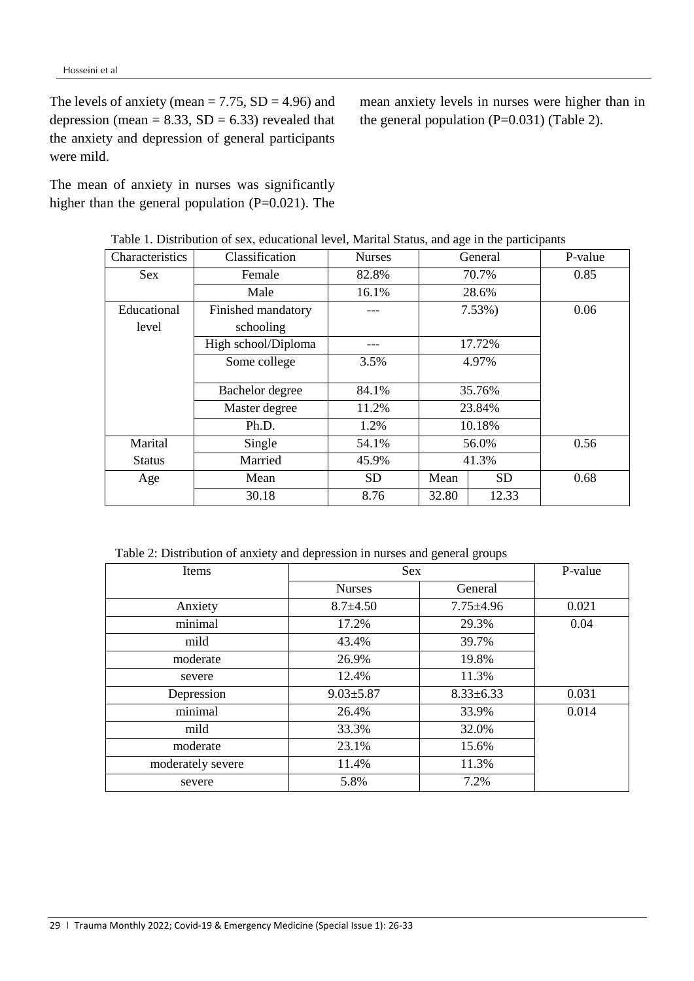The levels of anxiety (mean =  $7.75$ , SD = 4.96) and depression (mean =  $8.33$ , SD =  $6.33$ ) revealed that the anxiety and depression of general participants were mild.

The mean of anxiety in nurses was significantly higher than the general population (P=0.021). The

mean anxiety levels in nurses were higher than in the general population  $(P=0.031)$  (Table 2).

| Characteristics | Classification      | <b>Nurses</b> | General                    |           | P-value |
|-----------------|---------------------|---------------|----------------------------|-----------|---------|
| <b>Sex</b>      | Female              | 82.8%         |                            | 70.7%     | 0.85    |
|                 | Male                | 16.1%         |                            | 28.6%     |         |
| Educational     | Finished mandatory  |               |                            | $7.53\%)$ | 0.06    |
| level           | schooling           |               |                            |           |         |
|                 | High school/Diploma |               | 17.72%                     |           |         |
|                 | Some college        | 3.5%          | 4.97%                      |           |         |
|                 |                     |               |                            |           |         |
|                 | Bachelor degree     | 84.1%         | 35.76%<br>23.84%<br>10.18% |           |         |
|                 | Master degree       | 11.2%         |                            |           |         |
|                 | Ph.D.               | 1.2%          |                            |           |         |
| Marital         | Single              | 54.1%         | 56.0%                      |           | 0.56    |
| <b>Status</b>   | Married             | 45.9%         | 41.3%                      |           |         |
| Age             | Mean                | <b>SD</b>     | Mean                       | <b>SD</b> | 0.68    |
|                 | 30.18               | 8.76          | 32.80                      | 12.33     |         |

Table 1. Distribution of sex, educational level, Marital Status, and age in the participants

Table 2: Distribution of anxiety and depression in nurses and general groups

| Items             | <b>Sex</b>      | P-value         |       |
|-------------------|-----------------|-----------------|-------|
|                   | <b>Nurses</b>   | General         |       |
| Anxiety           | $8.7 \pm 4.50$  | $7.75 \pm 4.96$ | 0.021 |
| minimal           | 17.2%           | 29.3%           | 0.04  |
| mild              | 43.4%           | 39.7%           |       |
| moderate          | 26.9%           | 19.8%           |       |
| severe            | 12.4%           | 11.3%           |       |
| Depression        | $9.03 \pm 5.87$ | $8.33 \pm 6.33$ | 0.031 |
| minimal           | 26.4%           | 33.9%           | 0.014 |
| mild              | 33.3%           | 32.0%           |       |
| moderate          | 23.1%           | 15.6%           |       |
| moderately severe | 11.4%           | 11.3%           |       |
| severe            | 5.8%            | 7.2%            |       |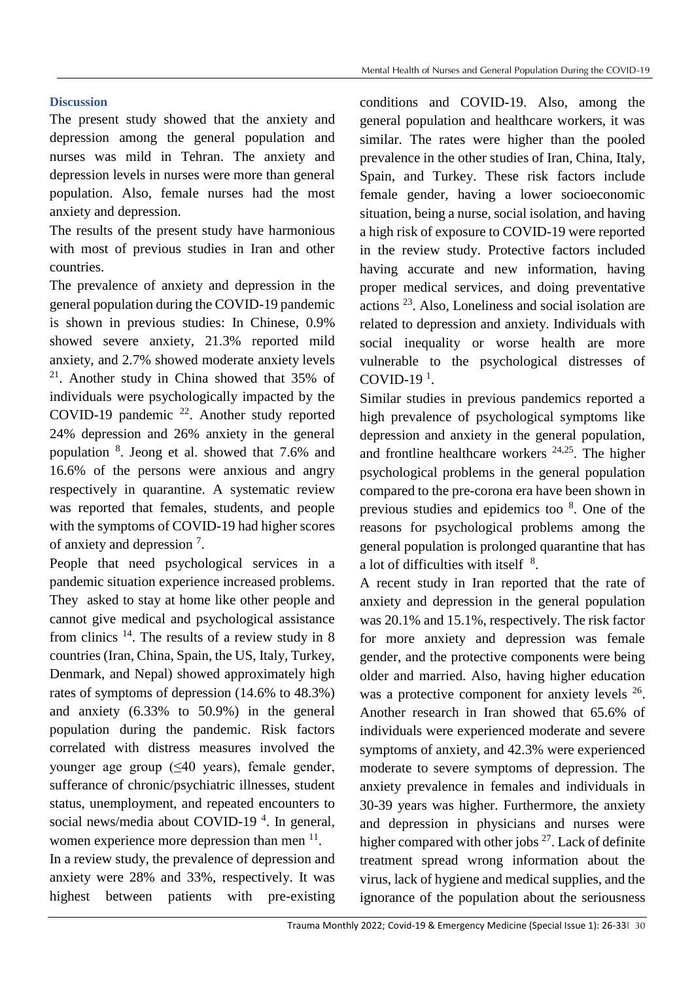# **Discussion**

The present study showed that the anxiety and depression among the general population and nurses was mild in Tehran. The anxiety and depression levels in nurses were more than general population. Also, female nurses had the most anxiety and depression.

The results of the present study have harmonious with most of previous studies in Iran and other countries.

The prevalence of anxiety and depression in the general population during the COVID-19 pandemic is shown in previous studies: In Chinese, 0.9% showed severe anxiety, 21.3% reported mild anxiety, and 2.7% showed moderate anxiety levels <sup>21</sup>. Another study in China showed that 35% of individuals were psychologically impacted by the COVID-19 pandemic  $^{22}$ . Another study reported 24% depression and 26% anxiety in the general population <sup>8</sup> . Jeong et al. showed that 7.6% and 16.6% of the persons were anxious and angry respectively in quarantine. A systematic review was reported that females, students, and people with the symptoms of COVID-19 had higher scores of anxiety and depression<sup>7</sup>.

People that need psychological services in a pandemic situation experience increased problems. They asked to stay at home like other people and cannot give medical and psychological assistance from clinics  $14$ . The results of a review study in 8 countries (Iran, China, Spain, the US, Italy, Turkey, Denmark, and Nepal) showed approximately high rates of symptoms of depression (14.6% to 48.3%) and anxiety (6.33% to 50.9%) in the general population during the pandemic. Risk factors correlated with distress measures involved the younger age group (≤40 years), female gender, sufferance of chronic/psychiatric illnesses, student status, unemployment, and repeated encounters to social news/media about COVID-19<sup> $4$ </sup>. In general, women experience more depression than men  $<sup>11</sup>$ .</sup> In a review study, the prevalence of depression and anxiety were 28% and 33%, respectively. It was highest between patients with pre-existing

conditions and COVID-19. Also, among the general population and healthcare workers, it was similar. The rates were higher than the pooled prevalence in the other studies of Iran, China, Italy, Spain, and Turkey. These risk factors include female gender, having a lower socioeconomic situation, being a nurse, social isolation, and having a high risk of exposure to COVID-19 were reported in the review study. Protective factors included having accurate and new information, having proper medical services, and doing preventative actions <sup>23</sup>. Also, Loneliness and social isolation are related to depression and anxiety. Individuals with social inequality or worse health are more vulnerable to the psychological distresses of COVID-19 $<sup>1</sup>$ .</sup>

Similar studies in previous pandemics reported a high prevalence of psychological symptoms like depression and anxiety in the general population, and frontline healthcare workers  $24,25$ . The higher psychological problems in the general population compared to the pre-corona era have been shown in previous studies and epidemics too <sup>8</sup>. One of the reasons for psychological problems among the general population is prolonged quarantine that has a lot of difficulties with itself <sup>8</sup>.

A recent study in Iran reported that the rate of anxiety and depression in the general population was 20.1% and 15.1%, respectively. The risk factor for more anxiety and depression was female gender, and the protective components were being older and married. Also, having higher education was a protective component for anxiety levels <sup>26</sup>. Another research in Iran showed that 65.6% of individuals were experienced moderate and severe symptoms of anxiety, and 42.3% were experienced moderate to severe symptoms of depression. The anxiety prevalence in females and individuals in 30-39 years was higher. Furthermore, the anxiety and depression in physicians and nurses were higher compared with other jobs  $27$ . Lack of definite treatment spread wrong information about the virus, lack of hygiene and medical supplies, and the ignorance of the population about the seriousness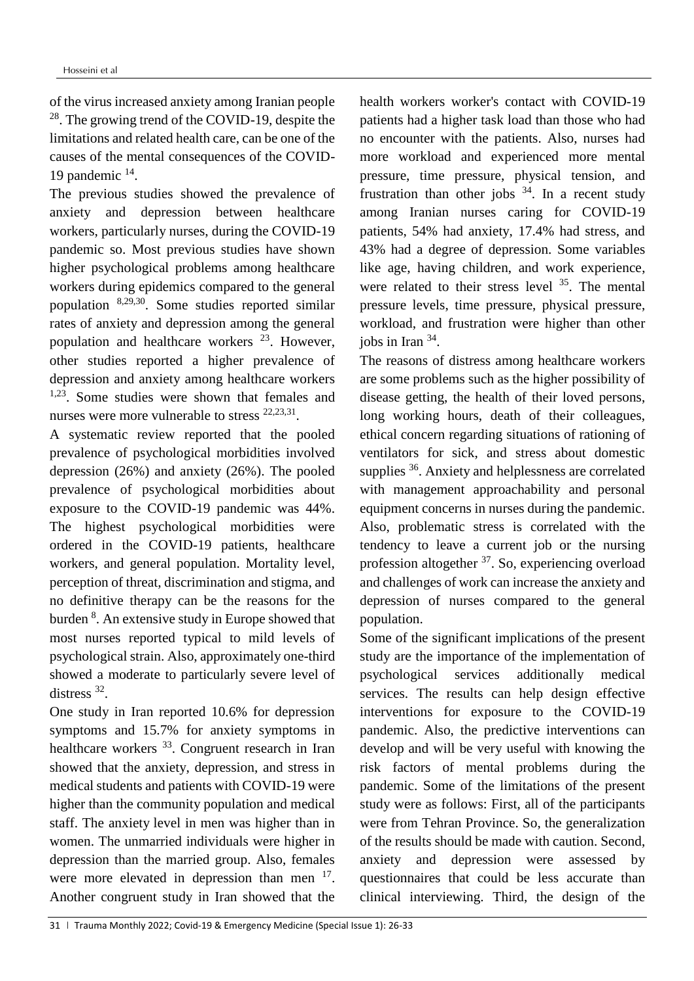of the virus increased anxiety among Iranian people <sup>28</sup>. The growing trend of the COVID-19, despite the limitations and related health care, can be one of the causes of the mental consequences of the COVID-19 pandemic <sup>14</sup> .

The previous studies showed the prevalence of anxiety and depression between healthcare workers, particularly nurses, during the COVID-19 pandemic so. Most previous studies have shown higher psychological problems among healthcare workers during epidemics compared to the general population 8,29,30 . Some studies reported similar rates of anxiety and depression among the general population and healthcare workers <sup>23</sup>. However, other studies reported a higher prevalence of depression and anxiety among healthcare workers 1,23. Some studies were shown that females and nurses were more vulnerable to stress <sup>22,23,31</sup>.

A systematic review reported that the pooled prevalence of psychological morbidities involved depression (26%) and anxiety (26%). The pooled prevalence of psychological morbidities about exposure to the COVID-19 pandemic was 44%. The highest psychological morbidities were ordered in the COVID-19 patients, healthcare workers, and general population. Mortality level, perception of threat, discrimination and stigma, and no definitive therapy can be the reasons for the burden <sup>8</sup>. An extensive study in Europe showed that most nurses reported typical to mild levels of psychological strain. Also, approximately one-third showed a moderate to particularly severe level of distress <sup>32</sup>.

One study in Iran reported 10.6% for depression symptoms and 15.7% for anxiety symptoms in healthcare workers <sup>33</sup>. Congruent research in Iran showed that the anxiety, depression, and stress in medical students and patients with COVID-19 were higher than the community population and medical staff. The anxiety level in men was higher than in women. The unmarried individuals were higher in depression than the married group. Also, females were more elevated in depression than men <sup>17</sup>. Another congruent study in Iran showed that the

health workers worker's contact with COVID-19 patients had a higher task load than those who had no encounter with the patients. Also, nurses had more workload and experienced more mental pressure, time pressure, physical tension, and frustration than other jobs  $34$ . In a recent study among Iranian nurses caring for COVID-19 patients, 54% had anxiety, 17.4% had stress, and 43% had a degree of depression. Some variables like age, having children, and work experience, were related to their stress level  $35$ . The mental pressure levels, time pressure, physical pressure, workload, and frustration were higher than other jobs in Iran  $34$ .

The reasons of distress among healthcare workers are some problems such as the higher possibility of disease getting, the health of their loved persons, long working hours, death of their colleagues, ethical concern regarding situations of rationing of ventilators for sick, and stress about domestic supplies <sup>36</sup>. Anxiety and helplessness are correlated with management approachability and personal equipment concerns in nurses during the pandemic. Also, problematic stress is correlated with the tendency to leave a current job or the nursing profession altogether <sup>37</sup>. So, experiencing overload and challenges of work can increase the anxiety and depression of nurses compared to the general population.

Some of the significant implications of the present study are the importance of the implementation of psychological services additionally medical services. The results can help design effective interventions for exposure to the COVID-19 pandemic. Also, the predictive interventions can develop and will be very useful with knowing the risk factors of mental problems during the pandemic. Some of the limitations of the present study were as follows: First, all of the participants were from Tehran Province. So, the generalization of the results should be made with caution. Second, anxiety and depression were assessed by questionnaires that could be less accurate than clinical interviewing. Third, the design of the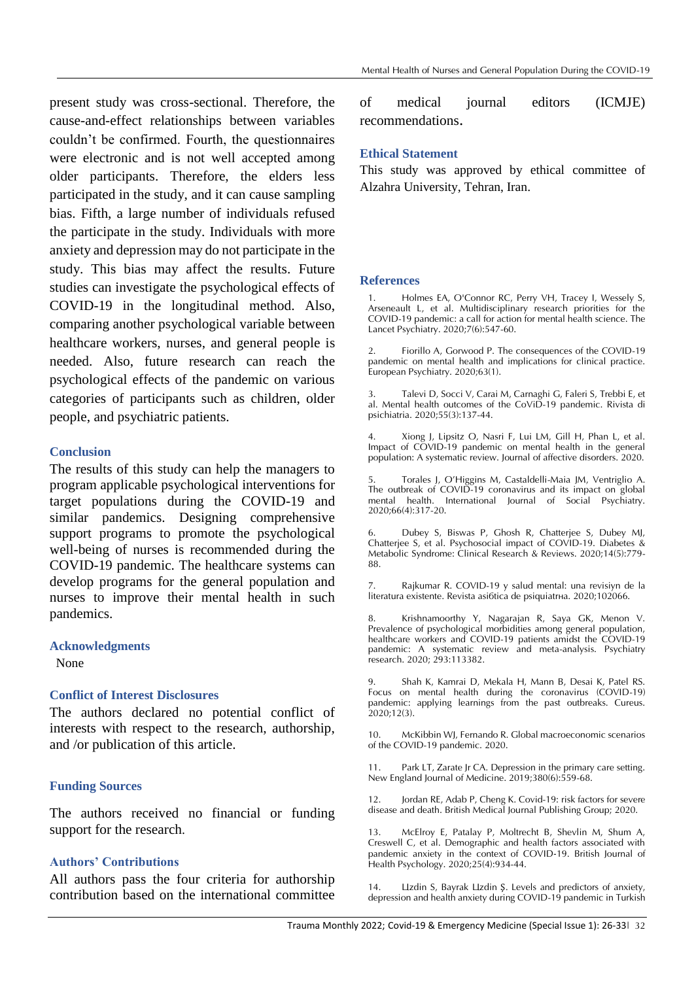present study was cross-sectional. Therefore, the cause-and-effect relationships between variables couldn't be confirmed. Fourth, the questionnaires were electronic and is not well accepted among older participants. Therefore, the elders less participated in the study, and it can cause sampling bias. Fifth, a large number of individuals refused the participate in the study. Individuals with more anxiety and depression may do not participate in the study. This bias may affect the results. Future studies can investigate the psychological effects of COVID-19 in the longitudinal method. Also, comparing another psychological variable between healthcare workers, nurses, and general people is needed. Also, future research can reach the psychological effects of the pandemic on various categories of participants such as children, older people, and psychiatric patients.

#### **Conclusion**

The results of this study can help the managers to program applicable psychological interventions for target populations during the COVID-19 and similar pandemics. Designing comprehensive support programs to promote the psychological well-being of nurses is recommended during the COVID-19 pandemic. The healthcare systems can develop programs for the general population and nurses to improve their mental health in such pandemics.

#### **Acknowledgments**

None

### **Conflict of Interest Disclosures**

The authors declared no potential conflict of interests with respect to the research, authorship, and /or publication of this article.

### **Funding Sources**

The authors received no financial or funding support for the research.

### **Authors' Contributions**

All authors pass the four criteria for authorship contribution based on the international committee of medical journal editors (ICMJE) recommendations.

#### **Ethical Statement**

This study was approved by ethical committee of Alzahra University, Tehran, Iran.

#### **References**

1. Holmes EA, O'Connor RC, Perry VH, Tracey I, Wessely S, Arseneault L, et al. Multidisciplinary research priorities for the COVID-19 pandemic: a call for action for mental health science. The Lancet Psychiatry. 2020;7(6):547-60.

2. Fiorillo A, Gorwood P. The consequences of the COVID-19 pandemic on mental health and implications for clinical practice. European Psychiatry. 2020;63(1).

3. Talevi D, Socci V, Carai M, Carnaghi G, Faleri S, Trebbi E, et al. Mental health outcomes of the CoViD-19 pandemic. Rivista di psichiatria. 2020;55(3):137-44.

4. Xiong J, Lipsitz O, Nasri F, Lui LM, Gill H, Phan L, et al. Impact of COVID-19 pandemic on mental health in the general population: A systematic review. Journal of affective disorders. 2020.

5. Torales J, O'Higgins M, Castaldelli-Maia JM, Ventriglio A. The outbreak of COVID-19 coronavirus and its impact on global mental health. International Journal of Social Psychiatry. 2020;66(4):317-20.

6. Dubey S, Biswas P, Ghosh R, Chatterjee S, Dubey MJ, Chatterjee S, et al. Psychosocial impact of COVID-19. Diabetes & Metabolic Syndrome: Clinical Research & Reviews. 2020;14(5):779- 88.

7. Rajkumar R. COVID-19 y salud mental: una revisivn de la literatura existente. Revista asi6tica de psiquiatrha. 2020;102066.

Krishnamoorthy Y, Nagarajan R, Saya GK, Menon V. Prevalence of psychological morbidities among general population, healthcare workers and COVID-19 patients amidst the COVID-19 pandemic: A systematic review and meta-analysis. Psychiatry research. 2020; 293:113382.

9. Shah K, Kamrai D, Mekala H, Mann B, Desai K, Patel RS. Focus on mental health during the coronavirus (COVID-19) pandemic: applying learnings from the past outbreaks. Cureus. 2020;12(3).

10. McKibbin WJ, Fernando R. Global macroeconomic scenarios of the COVID-19 pandemic. 2020.

11. Park LT, Zarate Jr CA. Depression in the primary care setting. New England Journal of Medicine. 2019;380(6):559-68.

12. Jordan RE, Adab P, Cheng K. Covid-19: risk factors for severe disease and death. British Medical Journal Publishing Group; 2020.

13. McElroy E, Patalay P, Moltrecht B, Shevlin M, Shum A, Creswell C, et al. Demographic and health factors associated with pandemic anxiety in the context of COVID-19. British Journal of Health Psychology. 2020;25(4):934-44.

14. Lizdin S, Bayrak Lizdin Ş. Levels and predictors of anxiety, depression and health anxiety during COVID-19 pandemic in Turkish